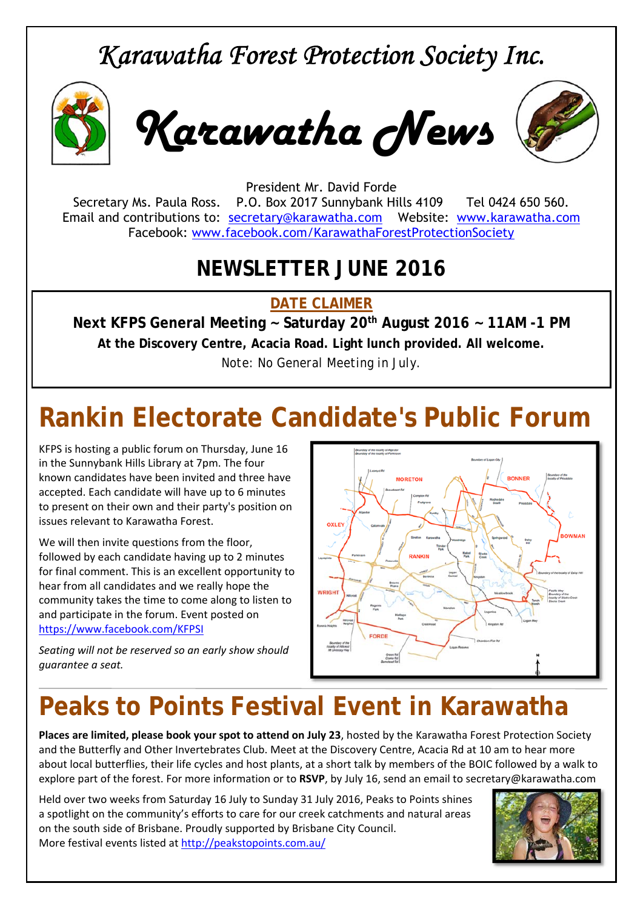### *Karawatha Forest Protection Society Inc.*



*Karawatha News*



President Mr. David Forde Secretary Ms. Paula Ross. P.O. Box 2017 Sunnybank Hills 4109 Tel 0424 650 560. Email and contributions to: secretary@karawatha.com Website: www.karawatha.com Facebook: www.facebook.com/KarawathaForestProtectionSociety

### **NEWSLETTER JUNE 2016**

**DATE CLAIMER** 

**Next KFPS General Meeting ~ Saturday 20th August 2016 ~ 11AM -1 PM At the Discovery Centre, Acacia Road. Light lunch provided. All welcome.**  *Note: No General Meeting in July.* 

# **Rankin Electorate Candidate's Public Forum**

KFPS is hosting a public forum on Thursday, June 16 in the Sunnybank Hills Library at 7pm. The four known candidates have been invited and three have accepted. Each candidate will have up to 6 minutes to present on their own and their party's position on issues relevant to Karawatha Forest.

We will then invite questions from the floor, followed by each candidate having up to 2 minutes for final comment. This is an excellent opportunity to hear from all candidates and we really hope the community takes the time to come along to listen to and participate in the forum. Event posted on https://www.facebook.com/KFPSI

*Seating will not be reserved so an early show should guarantee a seat.*



# **Peaks to Points Festival Event in Karawatha**

**Places are limited, please book your spot to attend on July 23**, hosted by the Karawatha Forest Protection Society and the Butterfly and Other Invertebrates Club. Meet at the Discovery Centre, Acacia Rd at 10 am to hear more about local butterflies, their life cycles and host plants, at a short talk by members of the BOIC followed by a walk to explore part of the forest. For more information or to **RSVP**, by July 16, send an email to secretary@karawatha.com

Held over two weeks from Saturday 16 July to Sunday 31 July 2016, Peaks to Points shines a spotlight on the community's efforts to care for our creek catchments and natural areas on the south side of Brisbane. Proudly supported by Brisbane City Council. More festival events listed at http://peakstopoints.com.au/